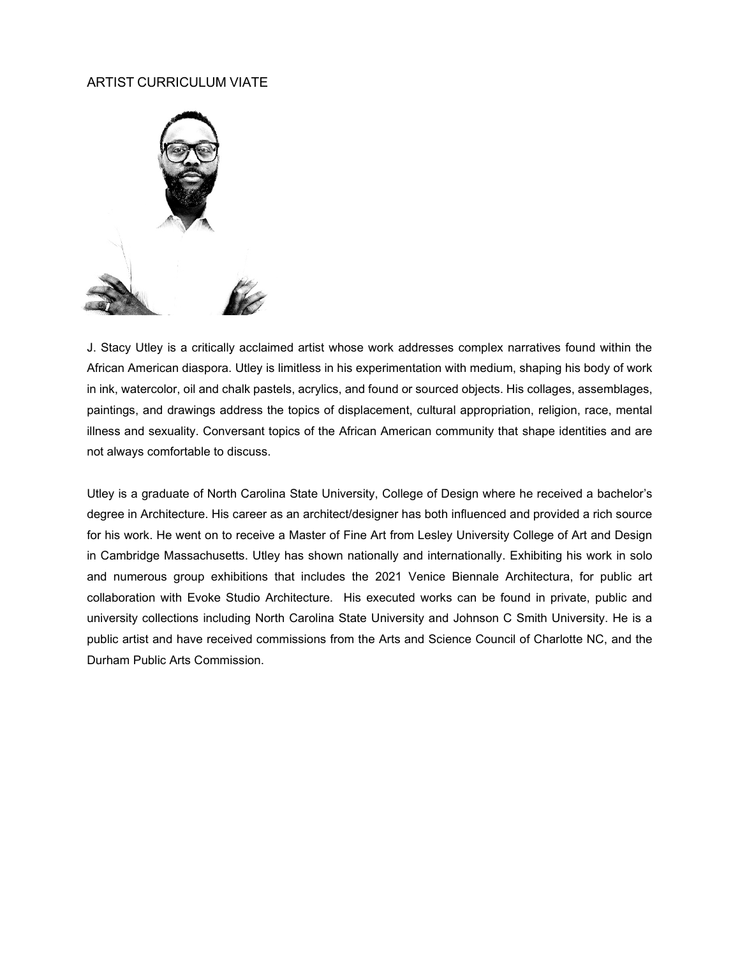#### ARTIST CURRICULUM VIATE



J. Stacy Utley is a critically acclaimed artist whose work addresses complex narratives found within the African American diaspora. Utley is limitless in his experimentation with medium, shaping his body of work in ink, watercolor, oil and chalk pastels, acrylics, and found or sourced objects. His collages, assemblages, paintings, and drawings address the topics of displacement, cultural appropriation, religion, race, mental illness and sexuality. Conversant topics of the African American community that shape identities and are not always comfortable to discuss.

Utley is a graduate of North Carolina State University, College of Design where he received a bachelor's degree in Architecture. His career as an architect/designer has both influenced and provided a rich source for his work. He went on to receive a Master of Fine Art from Lesley University College of Art and Design in Cambridge Massachusetts. Utley has shown nationally and internationally. Exhibiting his work in solo and numerous group exhibitions that includes the 2021 Venice Biennale Architectura, for public art collaboration with Evoke Studio Architecture. His executed works can be found in private, public and university collections including North Carolina State University and Johnson C Smith University. He is a public artist and have received commissions from the Arts and Science Council of Charlotte NC, and the Durham Public Arts Commission.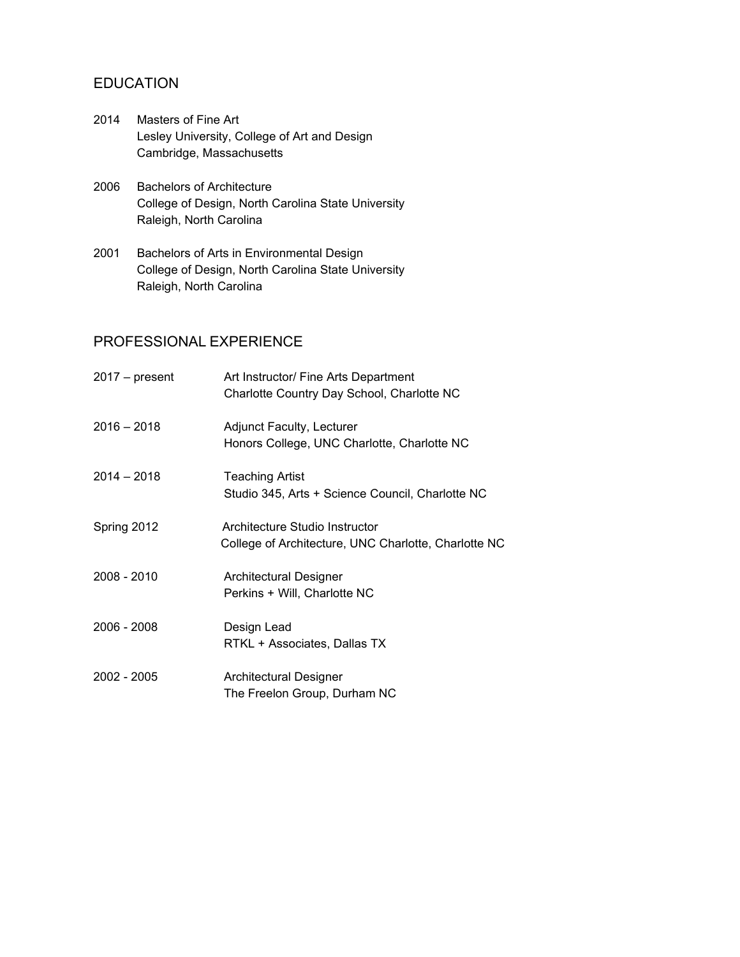# EDUCATION

- 2014 Masters of Fine Art Lesley University, College of Art and Design Cambridge, Massachusetts
- 2006 Bachelors of Architecture College of Design, North Carolina State University Raleigh, North Carolina
- 2001 Bachelors of Arts in Environmental Design College of Design, North Carolina State University Raleigh, North Carolina

# PROFESSIONAL EXPERIENCE

| $2017 - present$ | Art Instructor/ Fine Arts Department<br>Charlotte Country Day School, Charlotte NC     |
|------------------|----------------------------------------------------------------------------------------|
| $2016 - 2018$    | <b>Adjunct Faculty, Lecturer</b><br>Honors College, UNC Charlotte, Charlotte NC        |
| $2014 - 2018$    | Teaching Artist<br>Studio 345, Arts + Science Council, Charlotte NC                    |
| Spring 2012      | Architecture Studio Instructor<br>College of Architecture, UNC Charlotte, Charlotte NC |
| 2008 - 2010      | Architectural Designer<br>Perkins + Will, Charlotte NC                                 |
| 2006 - 2008      | Design Lead<br>RTKL + Associates, Dallas TX                                            |
| 2002 - 2005      | Architectural Designer<br>The Freelon Group, Durham NC                                 |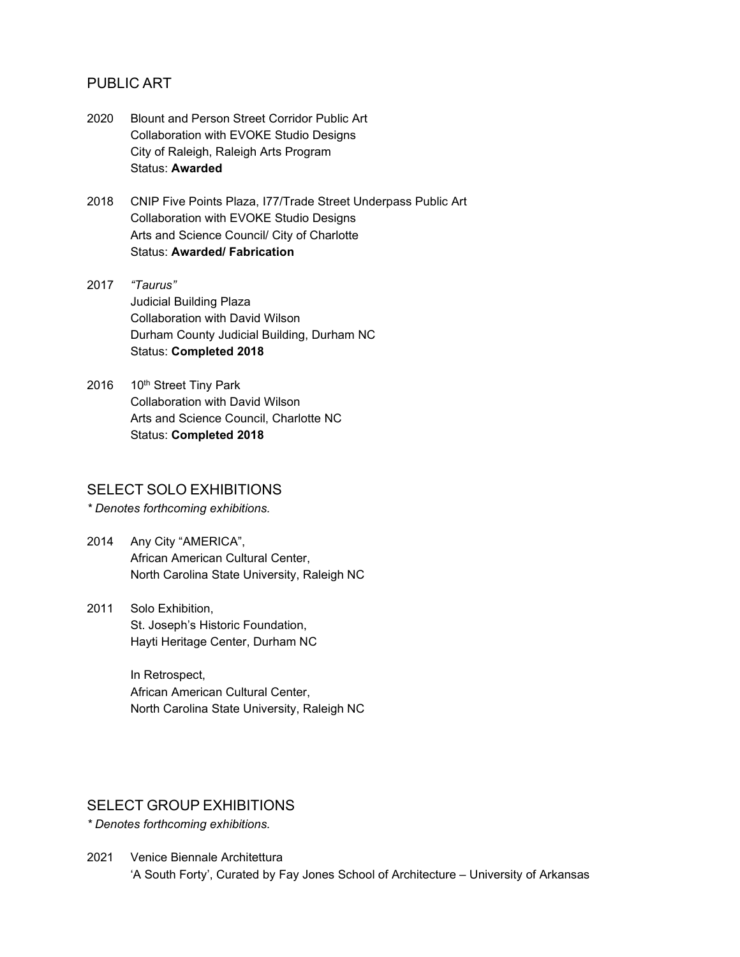## PUBLIC ART

- 2020 Blount and Person Street Corridor Public Art Collaboration with EVOKE Studio Designs City of Raleigh, Raleigh Arts Program Status: **Awarded**
- 2018 CNIP Five Points Plaza, I77/Trade Street Underpass Public Art Collaboration with EVOKE Studio Designs Arts and Science Council/ City of Charlotte Status: **Awarded/ Fabrication**
- 2017 *"Taurus"* Judicial Building Plaza Collaboration with David Wilson Durham County Judicial Building, Durham NC Status: **Completed 2018**
- 2016 10th Street Tiny Park Collaboration with David Wilson Arts and Science Council, Charlotte NC Status: **Completed 2018**

#### SELECT SOLO EXHIBITIONS

*\* Denotes forthcoming exhibitions.*

- 2014 Any City "AMERICA", African American Cultural Center, North Carolina State University, Raleigh NC
- 2011 Solo Exhibition, St. Joseph's Historic Foundation, Hayti Heritage Center, Durham NC

In Retrospect, African American Cultural Center, North Carolina State University, Raleigh NC

### SELECT GROUP EXHIBITIONS

*\* Denotes forthcoming exhibitions.*

2021 Venice Biennale Architettura 'A South Forty', Curated by Fay Jones School of Architecture – University of Arkansas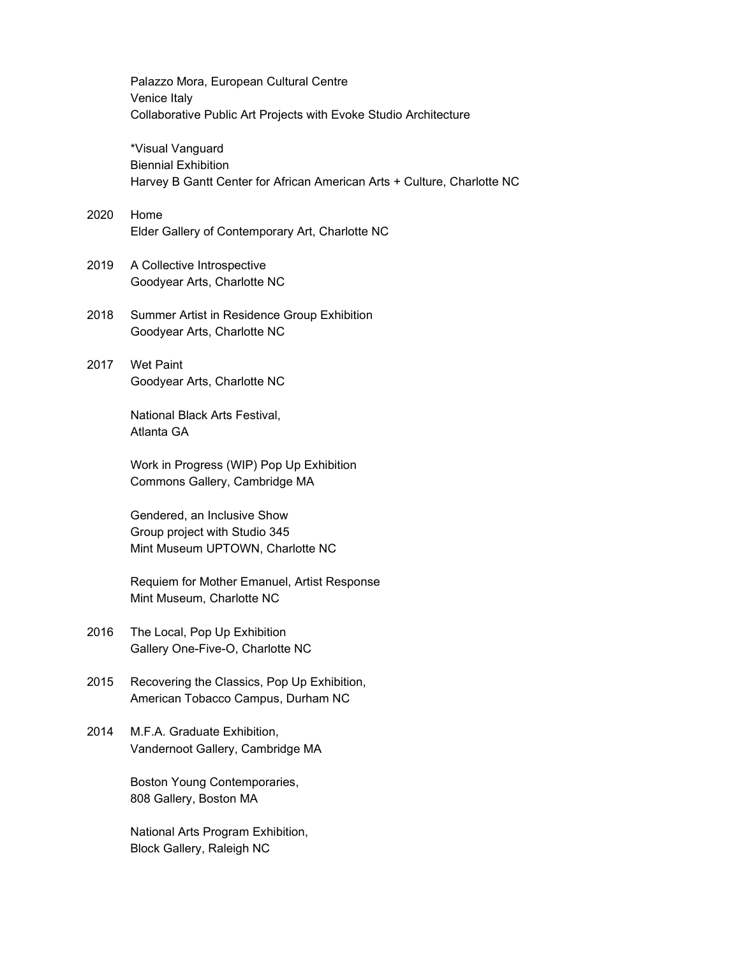Palazzo Mora, European Cultural Centre Venice Italy Collaborative Public Art Projects with Evoke Studio Architecture \*Visual Vanguard Biennial Exhibition Harvey B Gantt Center for African American Arts + Culture, Charlotte NC 2020 Home Elder Gallery of Contemporary Art, Charlotte NC 2019 A Collective Introspective

Goodyear Arts, Charlotte NC

2018 Summer Artist in Residence Group Exhibition Goodyear Arts, Charlotte NC

2017 Wet Paint Goodyear Arts, Charlotte NC

> National Black Arts Festival, Atlanta GA

Work in Progress (WIP) Pop Up Exhibition Commons Gallery, Cambridge MA

Gendered, an Inclusive Show Group project with Studio 345 Mint Museum UPTOWN, Charlotte NC

Requiem for Mother Emanuel, Artist Response Mint Museum, Charlotte NC

2016 The Local, Pop Up Exhibition Gallery One-Five-O, Charlotte NC

- 2015 Recovering the Classics, Pop Up Exhibition, American Tobacco Campus, Durham NC
- 2014 M.F.A. Graduate Exhibition, Vandernoot Gallery, Cambridge MA

Boston Young Contemporaries, 808 Gallery, Boston MA

National Arts Program Exhibition, Block Gallery, Raleigh NC